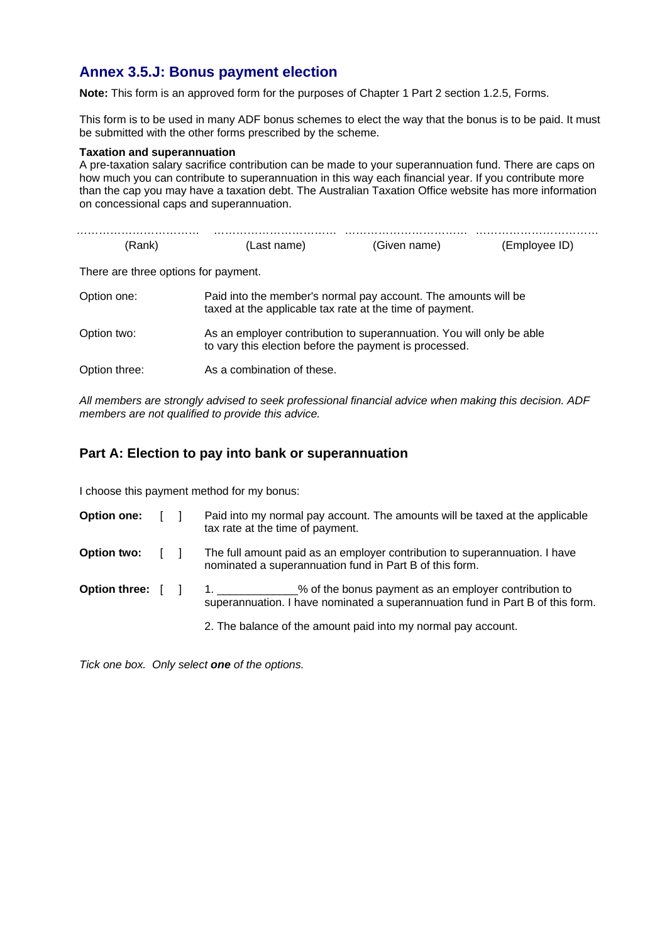## **Annex 3.5.J: Bonus payment election**

**Note:** This form is an approved form for the purposes of Chapter 1 Part 2 section 1.2.5, Forms.

This form is to be used in many ADF bonus schemes to elect the way that the bonus is to be paid. It must be submitted with the other forms prescribed by the scheme.

## **Taxation and superannuation**

A pre-taxation salary sacrifice contribution can be made to your superannuation fund. There are caps on how much you can contribute to superannuation in this way each financial year. If you contribute more than the cap you may have a taxation debt. The Australian Taxation Office website has more information on concessional caps and superannuation.

| (Rank)                               | (Last name)                                                                                                                    | (Given name) | (Employee ID) |  |
|--------------------------------------|--------------------------------------------------------------------------------------------------------------------------------|--------------|---------------|--|
| There are three options for payment. |                                                                                                                                |              |               |  |
| Option one:                          | Paid into the member's normal pay account. The amounts will be<br>taxed at the applicable tax rate at the time of payment.     |              |               |  |
| Option two:                          | As an employer contribution to superannuation. You will only be able<br>to vary this election before the payment is processed. |              |               |  |
| Option three:                        | As a combination of these.                                                                                                     |              |               |  |

*All members are strongly advised to seek professional financial advice when making this decision. ADF members are not qualified to provide this advice.* 

## **Part A: Election to pay into bank or superannuation**

I choose this payment method for my bonus:

| <b>Option one:</b>                                  |                | Paid into my normal pay account. The amounts will be taxed at the applicable<br>tax rate at the time of payment.                                        |
|-----------------------------------------------------|----------------|---------------------------------------------------------------------------------------------------------------------------------------------------------|
| <b>Option two:</b>                                  | $\blacksquare$ | The full amount paid as an employer contribution to superannuation. I have<br>nominated a superannuation fund in Part B of this form.                   |
| Option three: $\begin{bmatrix} \quad \end{bmatrix}$ |                | 1. _____________% of the bonus payment as an employer contribution to<br>superannuation. I have nominated a superannuation fund in Part B of this form. |
|                                                     |                | 2. The balance of the amount paid into my normal pay account.                                                                                           |

*Tick one box. Only select one of the options.*